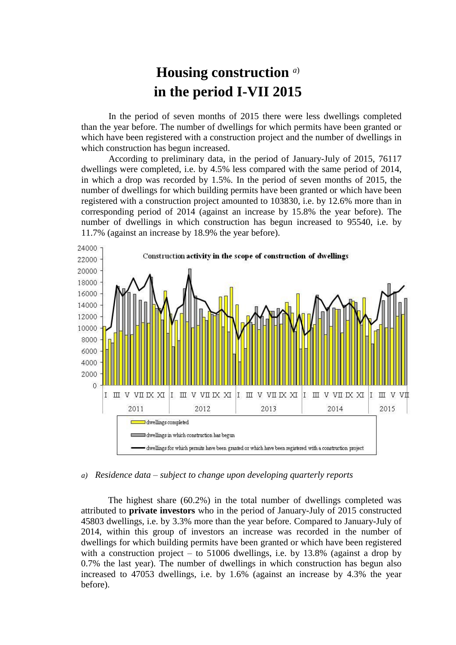## **Housing construction** *a*) **in the period I-VII 2015**

In the period of seven months of 2015 there were less dwellings completed than the year before. The number of dwellings for which permits have been granted or which have been registered with a construction project and the number of dwellings in which construction has begun increased.

According to preliminary data, in the period of January-July of 2015, 76117 dwellings were completed, i.e. by 4.5% less compared with the same period of 2014, in which a drop was recorded by 1.5%. In the period of seven months of 2015, the number of dwellings for which building permits have been granted or which have been registered with a construction project amounted to 103830, i.e. by 12.6% more than in corresponding period of 2014 (against an increase by 15.8% the year before). The number of dwellings in which construction has begun increased to 95540, i.e. by 11.7% (against an increase by 18.9% the year before).



## *a) Residence data – subject to change upon developing quarterly reports*

The highest share (60.2%) in the total number of dwellings completed was attributed to **private investors** who in the period of January-July of 2015 constructed 45803 dwellings, i.e. by 3.3% more than the year before. Compared to January-July of 2014, within this group of investors an increase was recorded in the number of dwellings for which building permits have been granted or which have been registered with a construction project – to 51006 dwellings, i.e. by 13.8% (against a drop by 0.7% the last year). The number of dwellings in which construction has begun also increased to 47053 dwellings, i.e. by 1.6% (against an increase by 4.3% the year before).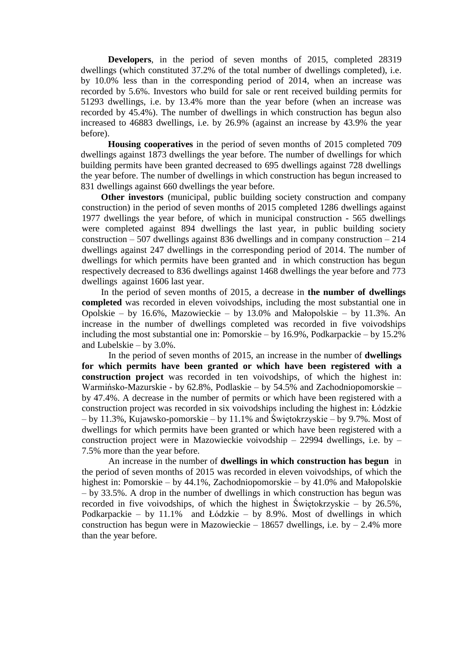**Developers**, in the period of seven months of 2015, completed 28319 dwellings (which constituted 37.2% of the total number of dwellings completed), i.e. by 10.0% less than in the corresponding period of 2014, when an increase was recorded by 5.6%. Investors who build for sale or rent received building permits for 51293 dwellings, i.e. by 13.4% more than the year before (when an increase was recorded by 45.4%). The number of dwellings in which construction has begun also increased to 46883 dwellings, i.e. by 26.9% (against an increase by 43.9% the year before).

**Housing cooperatives** in the period of seven months of 2015 completed 709 dwellings against 1873 dwellings the year before. The number of dwellings for which building permits have been granted decreased to 695 dwellings against 728 dwellings the year before. The number of dwellings in which construction has begun increased to 831 dwellings against 660 dwellings the year before.

**Other investors** (municipal, public building society construction and company construction) in the period of seven months of 2015 completed 1286 dwellings against 1977 dwellings the year before, of which in municipal construction - 565 dwellings were completed against 894 dwellings the last year, in public building society construction – 507 dwellings against 836 dwellings and in company construction – 214 dwellings against 247 dwellings in the corresponding period of 2014. The number of dwellings for which permits have been granted and in which construction has begun respectively decreased to 836 dwellings against 1468 dwellings the year before and 773 dwellings against 1606 last year.

In the period of seven months of 2015, a decrease in **the number of dwellings completed** was recorded in eleven voivodships, including the most substantial one in Opolskie – by 16.6%, Mazowieckie – by 13.0% and Małopolskie – by 11.3%. An increase in the number of dwellings completed was recorded in five voivodships including the most substantial one in: Pomorskie – by 16.9%, Podkarpackie – by 15.2% and Lubelskie – by 3.0%.

In the period of seven months of 2015, an increase in the number of **dwellings for which permits have been granted or which have been registered with a construction project** was recorded in ten voivodships, of which the highest in: Warmińsko-Mazurskie - by 62.8%, Podlaskie – by 54.5% and Zachodniopomorskie – by 47.4%. A decrease in the number of permits or which have been registered with a construction project was recorded in six voivodships including the highest in: Łódzkie – by 11.3%, Kujawsko-pomorskie – by 11.1% and Świętokrzyskie – by 9.7%. Most of dwellings for which permits have been granted or which have been registered with a construction project were in Mazowieckie voivodship – 22994 dwellings, i.e. by – 7.5% more than the year before.

An increase in the number of **dwellings in which construction has begun** in the period of seven months of 2015 was recorded in eleven voivodships, of which the highest in: Pomorskie – by 44.1%, Zachodniopomorskie – by 41.0% and Małopolskie – by 33.5%. A drop in the number of dwellings in which construction has begun was recorded in five voivodships, of which the highest in Świętokrzyskie – by 26.5%, Podkarpackie – by 11.1% and Łódzkie – by 8.9%. Most of dwellings in which construction has begun were in Mazowieckie – 18657 dwellings, i.e. by  $-2.4\%$  more than the year before.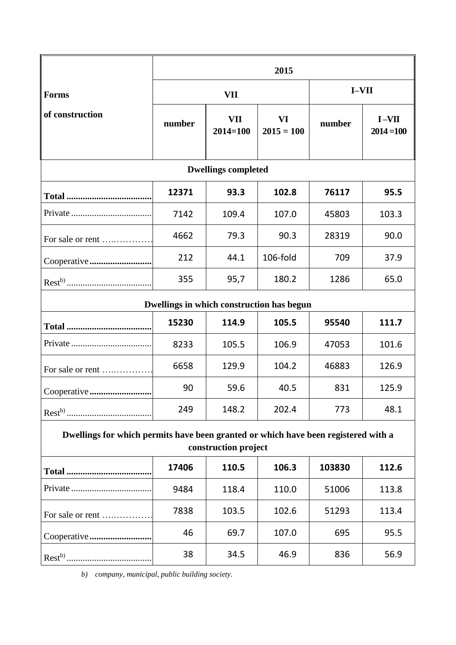|                                           | 2015       |                            |                           |        |                         |  |  |  |  |
|-------------------------------------------|------------|----------------------------|---------------------------|--------|-------------------------|--|--|--|--|
| <b>Forms</b>                              | <b>VII</b> |                            |                           | I-VII  |                         |  |  |  |  |
| of construction                           | number     | <b>VII</b><br>$2014 = 100$ | <b>VI</b><br>$2015 = 100$ | number | $I-VII$<br>$2014 = 100$ |  |  |  |  |
| <b>Dwellings completed</b>                |            |                            |                           |        |                         |  |  |  |  |
|                                           | 12371      | 93.3                       | 102.8                     | 76117  | 95.5                    |  |  |  |  |
|                                           | 7142       | 109.4                      | 107.0                     | 45803  | 103.3                   |  |  |  |  |
| For sale or rent                          | 4662       | 79.3                       | 90.3                      | 28319  | 90.0                    |  |  |  |  |
| Cooperative                               | 212        | 44.1                       | 106-fold                  | 709    | 37.9                    |  |  |  |  |
|                                           | 355        | 95,7                       | 180.2                     | 1286   | 65.0                    |  |  |  |  |
| Dwellings in which construction has begun |            |                            |                           |        |                         |  |  |  |  |
|                                           | 15230      | 114.9                      | 105.5                     | 95540  | 111.7                   |  |  |  |  |
|                                           | 8233       | 105.5                      | 106.9                     | 47053  | 101.6                   |  |  |  |  |
| For sale or rent                          | 6658       | 129.9                      | 104.2                     | 46883  | 126.9                   |  |  |  |  |
| Cooperative                               | 90         | 59.6                       | 40.5                      | 831    | 125.9                   |  |  |  |  |
|                                           | 249        | 148.2                      | 202.4                     | 773    | 48.1                    |  |  |  |  |

## **Dwellings for which permits have been granted or which have been registered with a construction project**

|                  | 17406 | 110.5 | 106.3 | 103830 | 112.6 |  |  |  |
|------------------|-------|-------|-------|--------|-------|--|--|--|
|                  | 9484  | 118.4 | 110.0 | 51006  | 113.8 |  |  |  |
| For sale or rent | 7838  | 103.5 | 102.6 | 51293  | 113.4 |  |  |  |
|                  | 46    | 69.7  | 107.0 | 695    | 95.5  |  |  |  |
| $Rest^{b}$ .     | 38    | 34.5  | 46.9  | 836    | 56.9  |  |  |  |

*b) company, municipal, public building society.*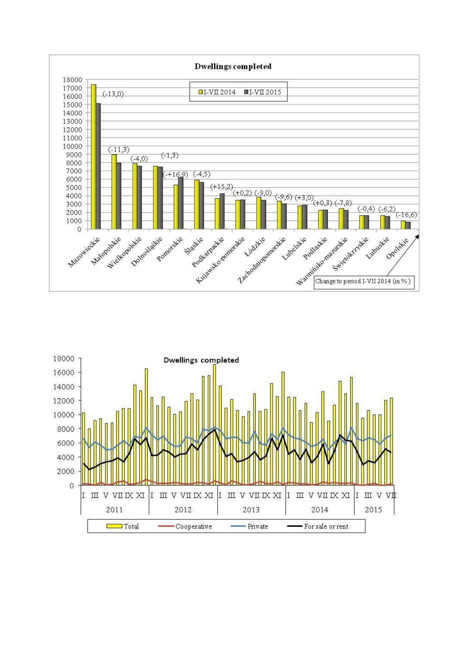